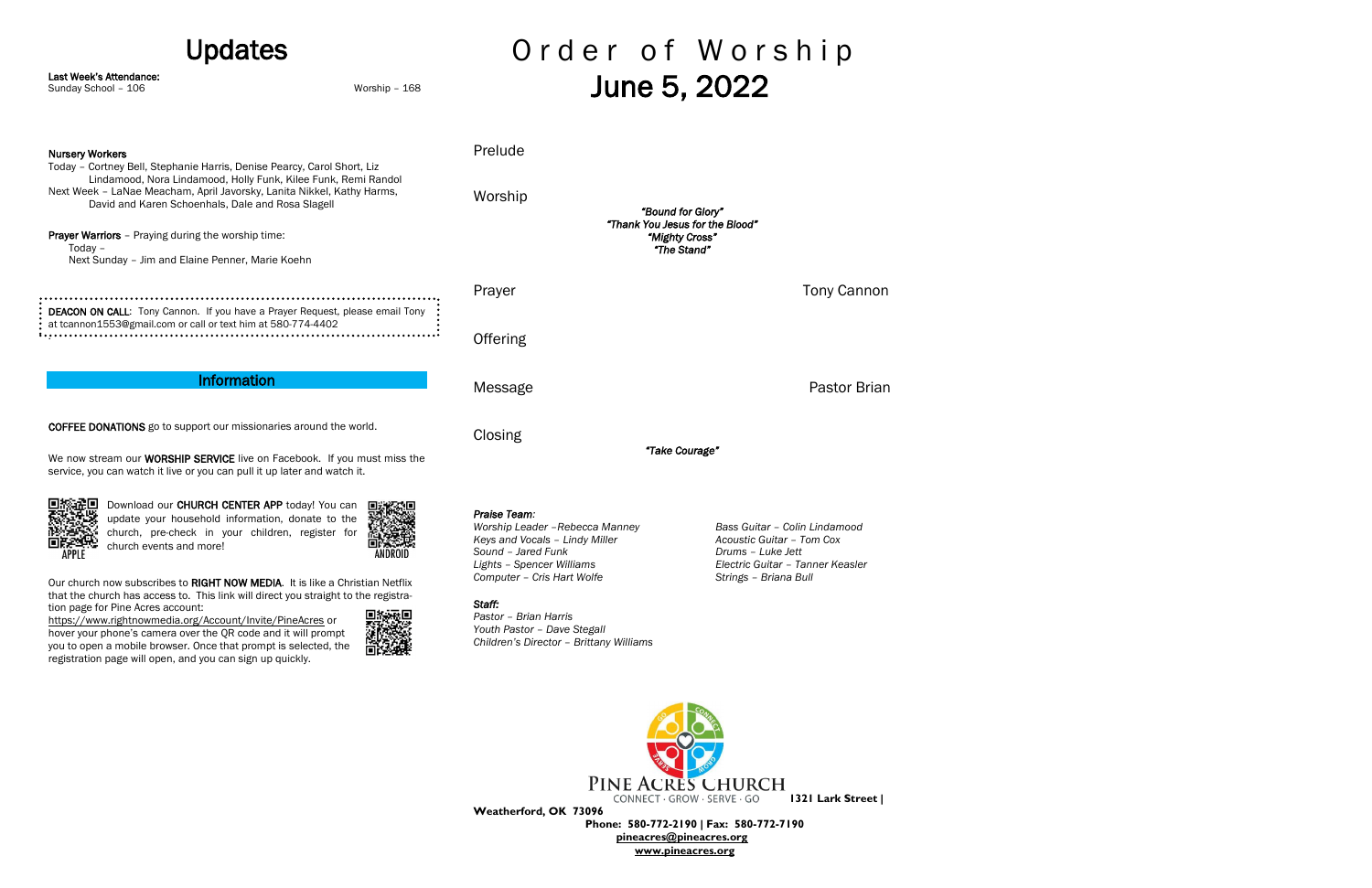Order of Worship Updates Last Week's Attendance: June 5, 2022 Sunday School – 106 Worship – 168 Prelude Nursery Workers Today – Cortney Bell, Stephanie Harris, Denise Pearcy, Carol Short, Liz Lindamood, Nora Lindamood, Holly Funk, Kilee Funk, Remi Randol Next Week – LaNae Meacham, April Javorsky, Lanita Nikkel, Kathy Harms, Worship David and Karen Schoenhals, Dale and Rosa Slagell *"Bound for Glory" "Thank You Jesus for the Blood"*  **Prayer Warriors** - Praying during the worship time: *"Mighty Cross"*  Today – *"The Stand"*  Next Sunday – Jim and Elaine Penner, Marie Koehn Prayer Tony Cannon DEACON ON CALL: Tony Cannon. If you have a Prayer Request, please email Tony at tcannon1553@gmail.com or call or text him at 580-774-4402 . **Offering** Information Message **Pastor Brian** COFFEE DONATIONS go to support our missionaries around the world. **Closing** *"Take Courage"*  We now stream our **WORSHIP SERVICE** live on Facebook. If you must miss the service, you can watch it live or you can pull it up later and watch it.



Our church now subscribes to RIGHT NOW MEDIA. It is like a Christian Netflix that the church has access to. This link will direct you straight to the registration page for Pine Acres account:

Download our CHURCH CENTER APP today! You can update your household information, donate to the church, pre-check in your children, register for church events and more!



<https://www.rightnowmedia.org/Account/Invite/PineAcres> or

hover your phone's camera over the QR code and it will prompt you to open a mobile browser. Once that prompt is selected, the registration page will open, and you can sign up quickly.



*Praise Team:*

*Worship Leader –Rebecca Manney Bass Guitar – Colin Lindamood Keys and Vocals – Lindy Miller Acoustic Guitar – Tom Cox Sound – Jared Funk Drums – Luke Jett Lights – Spencer Williams Electric Guitar – Tanner Keasler Computer – Cris Hart Wolfe Strings – Briana Bull*

## *Staff:*

*Pastor – Brian Harris Youth Pastor – Dave Stegall Children's Director – Brittany Williams*



**Weatherford, OK 73096**

 **Phone: 580-772-2190 | Fax: 580-772-7190 [pineacres@pineacres.org](mailto:pineacres@pineacres.org) [www.pineacres.org](http://www.pineacres.org/)**